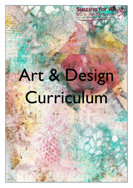

## Art & Design Curriculum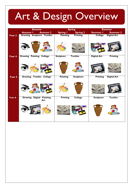## Art & Design Overview

|        | <b>Autumn</b>                   |                                        |                  | <b>Spring</b>    | <b>Summer</b>      |                    |
|--------|---------------------------------|----------------------------------------|------------------|------------------|--------------------|--------------------|
|        | <b>Autumn I</b>                 | <b>Autumn 2</b>                        | <b>Spring I</b>  | <b>Spring 2</b>  | Summer I           | <b>Summer 2</b>    |
| Year 3 |                                 | <b>Drawing Sculpture Textiles</b>      | <b>Painting</b>  | <b>Printing</b>  | <b>Collage</b>     | <b>Digital Art</b> |
|        |                                 |                                        |                  |                  |                    |                    |
| Year 4 | <b>Drawing Painting Collage</b> |                                        | <b>Sculpture</b> | <b>Textiles</b>  | <b>Digital Art</b> | <b>Printing</b>    |
|        |                                 |                                        |                  |                  |                    |                    |
| Year 5 |                                 | <b>Drawing Textiles Collage</b>        | <b>Painting</b>  | <b>Sculpture</b> | <b>Printing</b>    | <b>Digital Art</b> |
|        |                                 |                                        |                  |                  |                    |                    |
| Year 6 |                                 | <b>Drawing Digital Painting</b><br>Art | <b>Printing</b>  | <b>Collage</b>   | <b>Sculpture</b>   | <b>Textiles</b>    |
|        |                                 |                                        |                  |                  |                    |                    |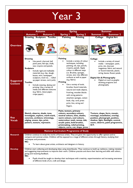

|                                    | <b>Autumn</b>                                                                                                                                                                                                                                                                                                                                                                                                                                                      | <b>Spring</b>                                                                                                                                                                                                                                                                                                                                                                                                                                                                                                                      | <b>Summer</b>                                                                                                                                                                                                                                                                                      |  |
|------------------------------------|--------------------------------------------------------------------------------------------------------------------------------------------------------------------------------------------------------------------------------------------------------------------------------------------------------------------------------------------------------------------------------------------------------------------------------------------------------------------|------------------------------------------------------------------------------------------------------------------------------------------------------------------------------------------------------------------------------------------------------------------------------------------------------------------------------------------------------------------------------------------------------------------------------------------------------------------------------------------------------------------------------------|----------------------------------------------------------------------------------------------------------------------------------------------------------------------------------------------------------------------------------------------------------------------------------------------------|--|
|                                    | <b>Autumn I</b><br><b>Autumn 2</b>                                                                                                                                                                                                                                                                                                                                                                                                                                 | <b>Spring I</b><br><b>Spring 2</b>                                                                                                                                                                                                                                                                                                                                                                                                                                                                                                 | <b>Summer I</b><br><b>Summer 2</b>                                                                                                                                                                                                                                                                 |  |
| <b>Overview</b>                    | <b>Drawing Sculpture Textiles</b>                                                                                                                                                                                                                                                                                                                                                                                                                                  | <b>Painting</b><br><b>Printing</b>                                                                                                                                                                                                                                                                                                                                                                                                                                                                                                 | <b>Digital Art</b><br><b>Collage</b>                                                                                                                                                                                                                                                               |  |
| <b>Suggested</b><br><b>Content</b> | <b>Drawing</b><br>Use pencil, charcoal, ball<br>point pens, felt tips, chalk,<br>wax crayons and pastels.<br><b>Sculpture</b><br>Include rigid and malleable<br>materials (e.g. clay, dough,<br>boxes, wire, newspaper,<br>sculpture, mod roc rolled<br>up paper straws, card, junk).<br><b>Textiles</b><br>Include weaving, dyeing and<br>$\bullet$<br>printing. Use a variety of<br>media and different textures<br>(e.g. fabric, tissue paper,<br>crepe paper). | <b>Painting</b><br>Include a variety of colour<br>techniques, including:<br>painting, ink, dye, pencils,<br>crayons, pastels. Apply<br>colour in different ways<br>(i.e. Brushes, sponges,<br>straws, etc). Use different<br>surfaces as well as paper<br>(e.g. fabric)<br><b>Printing</b><br>Use a variety of tools,<br>brushes, found materials,<br>natural and made objects,<br>fruit/veg, wooden blocks<br>with string patterns<br>attached, sponges, cotton<br>buds, clay, card, press<br>print, lino, string and<br>fingers. | Collage<br>Include a variety of mixed<br>media - newspaper, paint,<br>print, ink, charcoal,<br>magazines, fabric and natural<br>or found materials, plastic,<br>string, leaves, flower petals.<br>Digital Art & Photography<br>Digital art such as graphic<br>drawing programs and<br>photography. |  |
| <b>Key</b><br><b>Vocab</b>         | Sketch, observe, shade, tone,<br>investigate, explore, mark-mark,<br>concrete, architect, trimmings,<br>edging, weave, dye, print,<br>pattern, texture, represent.                                                                                                                                                                                                                                                                                                 | Paint, texture, primary<br>colours, secondary colours,<br>neutral colours, tints, shades,<br>warm colours, cool colours,<br>watercolour wash, sweep, dab,<br>acrylic paint, bold brushes,<br>printmaking, relief printing,<br>objects, carve, cut, shape, press                                                                                                                                                                                                                                                                    | Texture, shape, form, mosaic,<br>montage, tessellation, overlap,<br>position, photograph, position,<br>shadow, light, flashlight, central,<br>zoom, observe, paint programme,<br>ICT.                                                                                                              |  |
|                                    |                                                                                                                                                                                                                                                                                                                                                                                                                                                                    | <b>National Curriculum Programme of Study</b>                                                                                                                                                                                                                                                                                                                                                                                                                                                                                      |                                                                                                                                                                                                                                                                                                    |  |
| <b>Research</b>                    | Children continue to study the works of famous artists. They are given the opportunity to offer opinion and to<br>compare and contrast artists. Children will be exposed to a range of different artists through history, studying their<br>techniques and processes.<br>NC:<br>To learn about great artists, architects and designers in history.                                                                                                                 |                                                                                                                                                                                                                                                                                                                                                                                                                                                                                                                                    |                                                                                                                                                                                                                                                                                                    |  |
| <b>Develop</b>                     | Children start collecting and developing ideas using sketchbooks. They continue to build up resilience, making mistakes<br>and suggesting improvements to improve their work. Children practise and share their learning and skills with others,<br>giving and receiving feedback.<br>NC:<br>Pupils should be taught to develop their techniques with creativity, experimentation and increasing awareness<br>of different kinds of art, craft and design.         |                                                                                                                                                                                                                                                                                                                                                                                                                                                                                                                                    |                                                                                                                                                                                                                                                                                                    |  |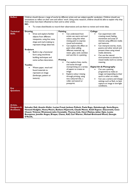| <b>Reflect</b>                               | Children should discuss a range of works by different artists and use subject-specific vocabulary. Children should use<br>think artists have been influential to them and to other artists.<br>NC:<br>$\bullet$                                                                                                                                                                                                                  | To create sketchbooks to record their observations and use them to review and revisit ideas.                                                                                                                                                                                                                                                                                                                                                                                                                                                                    | annotations to reflect on their own and others' work. Using artist research, children should be able to explain why they                                                                                                                                                                                                                                                                                                                                                                                                                                                                                                                                                                |
|----------------------------------------------|----------------------------------------------------------------------------------------------------------------------------------------------------------------------------------------------------------------------------------------------------------------------------------------------------------------------------------------------------------------------------------------------------------------------------------|-----------------------------------------------------------------------------------------------------------------------------------------------------------------------------------------------------------------------------------------------------------------------------------------------------------------------------------------------------------------------------------------------------------------------------------------------------------------------------------------------------------------------------------------------------------------|-----------------------------------------------------------------------------------------------------------------------------------------------------------------------------------------------------------------------------------------------------------------------------------------------------------------------------------------------------------------------------------------------------------------------------------------------------------------------------------------------------------------------------------------------------------------------------------------------------------------------------------------------------------------------------------------|
| <b>Technical</b><br><b>Skills</b>            | <b>Drawing</b><br>Draw and explore familiar<br>objects from different<br>viewpoints, using line, tone,<br>shape and mark-making to<br>represent things observed.<br><b>Sculpture</b><br>Build in clay a functional<br>form using two/three<br>building techniques and<br>some surface decoration.<br><b>Textiles</b><br>Weave paper, wool and<br>found materials to<br>represent an image<br>(landscape, pattern or<br>texture). | <b>Painting</b><br>Can understand how<br>$\bullet$<br>artists use warm and cool<br>colour using this when<br>mixing paint to express<br>mood and emotion.<br>Can explore the effect on<br>paint when adding<br>different materials, eg.<br>water, glue, sand, sawdust<br>and use this in a painting.<br><b>Printing</b><br>Can explore lines, marks,<br>and tones through<br>monoprinting on a variety<br>of papers to create an<br>image.<br>Explore colour missing<br>through printing, using<br>two coloured inks, a<br>roller and stencil or<br>pressprint. | <b>Collage</b><br>$\bullet$<br>Can experiment with<br>creating mood, feeling,<br>movement and areas of<br>interest using different media<br>and textures.<br>Can interpret stories, music,<br>$\bullet$<br>poems and other stimuli and<br>present these using mixed<br>media elements.<br>Can use the natural<br>$\bullet$<br>environments as stimulus for<br>mixed media work to convey<br>meaning.<br>Digital Art & Photography<br>Can use a painting<br>$\bullet$<br>programme to make an<br>image corresponding to their<br>work in other art media.<br>Can use a camera and change<br>$\bullet$<br>settings such as flash, to best<br>capture an image in low-light<br>conditions. |
| <b>Key</b><br><b>Questions</b>               |                                                                                                                                                                                                                                                                                                                                                                                                                                  |                                                                                                                                                                                                                                                                                                                                                                                                                                                                                                                                                                 |                                                                                                                                                                                                                                                                                                                                                                                                                                                                                                                                                                                                                                                                                         |
| Artists,<br>Designers &<br><b>Architects</b> | Salvador Dali, Anselm Kiefer, Lucian Freud, Jackson Pollock, Paula Rego, Gainsborugh, Sonia Boyce,<br>Howard Hodgkin, Henry Moore, Barbara Hepworth, Claude Monet, Anish Kapoor, Giacometti, Coco<br>Chanel, Vivienne Westwood, John Constable, Thomas Cole, Henri Matisse, Julian Opie, Louise<br>Bourgeous, Jennifer Angus, Braque, Claesz, Kalf, Carl Warner, Michael-Brennand-Wood, Georgia<br>O'Keefe,                      |                                                                                                                                                                                                                                                                                                                                                                                                                                                                                                                                                                 |                                                                                                                                                                                                                                                                                                                                                                                                                                                                                                                                                                                                                                                                                         |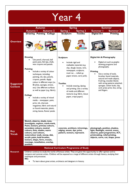|                                                                                                                                                                                                                                                                                                                                                                                                                                                                                                                                                                                                                                                                                                                                                        |                                                                                                                                                                                                                                                                                                                                                                                                                                                                                                                                                                                                                                                                                | Year 4                                                                                                                                                                                                                                                                                                                                                                                                                                                 |                                                                                                                                                                                                                                                                                                                                                                                                                                                                       |
|--------------------------------------------------------------------------------------------------------------------------------------------------------------------------------------------------------------------------------------------------------------------------------------------------------------------------------------------------------------------------------------------------------------------------------------------------------------------------------------------------------------------------------------------------------------------------------------------------------------------------------------------------------------------------------------------------------------------------------------------------------|--------------------------------------------------------------------------------------------------------------------------------------------------------------------------------------------------------------------------------------------------------------------------------------------------------------------------------------------------------------------------------------------------------------------------------------------------------------------------------------------------------------------------------------------------------------------------------------------------------------------------------------------------------------------------------|--------------------------------------------------------------------------------------------------------------------------------------------------------------------------------------------------------------------------------------------------------------------------------------------------------------------------------------------------------------------------------------------------------------------------------------------------------|-----------------------------------------------------------------------------------------------------------------------------------------------------------------------------------------------------------------------------------------------------------------------------------------------------------------------------------------------------------------------------------------------------------------------------------------------------------------------|
| <b>Overview</b><br><b>Suggested</b><br><b>Content</b>                                                                                                                                                                                                                                                                                                                                                                                                                                                                                                                                                                                                                                                                                                  | <b>Autumn</b><br><b>Autumn I</b><br><b>Autumn 2</b><br><b>Drawing Painting Collage</b><br><b>Drawing</b><br>Use pencil, charcoal, ball<br>point pens, felt tips, chalk,<br>wax crayons and pastels.<br><b>Painting</b><br>Include a variety of colour<br>techniques, including:<br>painting, ink, dye, pencils,<br>crayons, pastels. Apply<br>colour in different ways (i.e.<br>Brushes, sponges, straws,<br>etc). Use different surfaces<br>as well as paper (e.g. fabric).<br>Collage<br>Include a variety of mixed<br>media - newspaper, paint,<br>print, ink, charcoal,<br>magazines, fabric and natural<br>or found materials, plastic,<br>string, leaves, flower petals. | <b>Spring</b><br><b>Spring I</b><br><b>Spring 2</b><br><b>Textiles</b><br><b>Sculpture</b><br><b>Sculpture</b><br>Include rigid and<br>malleable materials (e.g.<br>clay, dough, boxes, wire,<br>newspaper, sculpture,<br>mod roc rolled up<br>paper straws, card, junk).<br><b>Textiles</b><br>Include weaving, dyeing<br>$\bullet$<br>and printing. Use a variety<br>of media and different<br>textures (e.g. fabric, tissue<br>paper, crepe paper). | <b>Summer</b><br><b>Summer I</b><br><b>Summer 2</b><br><b>Digital Art</b><br><b>Printing</b><br>Digital Art & Photography<br>Digital art such as graphic<br>drawing programs and<br>photography.<br><b>Printing</b><br>Use a variety of tools,<br>$\bullet$<br>brushes, found materials,<br>natural and made objects,<br>fruit/veg, wooden blocks<br>with string patterns attached,<br>sponges, cotton buds, clay,<br>card, press print, lino, string<br>and fingers. |
| Sketch, observe, shade, tone,<br>investigate, explore, mark-mark,<br>Paint, texture, primary colours,<br>secondary colours, neutral<br>colours, tints, shades, warm<br><b>Key</b><br>colours, cool colours,<br><b>Vocab</b><br>watercolour wash, sweep, dab,<br>acrylic paint, bold brushes,<br>texture, shape, form, mosaic,<br>montage, tessellation, overlap,<br>position.<br><b>Research</b><br>Children continue to study the works of famous artists. They are given the opportunity to offer opinion and to<br>compare and contrast artists. Children will be exposed to a range of different artists through history, studying their<br>techniques and processes.<br>NC:<br>To learn about great artists, architects and designers in history. |                                                                                                                                                                                                                                                                                                                                                                                                                                                                                                                                                                                                                                                                                | concrete, architect, trimmings,<br>edging, weave, dye, print,<br>pattern, texture, represent.<br><b>National Curriculum Programme of Study</b>                                                                                                                                                                                                                                                                                                         | photograph, position, shadow,<br>light, flashlight, central, zoom,<br>observe, paint programme, ICT,<br>printmaking, relief printing,<br>objects, carve, cut, shape, press                                                                                                                                                                                                                                                                                            |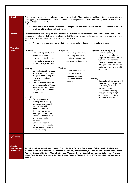| <b>Develop</b>                     |                                                                                                                                                                                                                                                    |                                                                                              | Children start collecting and developing ideas using sketchbooks. They continue to build up resilience, making mistakes |  |
|------------------------------------|----------------------------------------------------------------------------------------------------------------------------------------------------------------------------------------------------------------------------------------------------|----------------------------------------------------------------------------------------------|-------------------------------------------------------------------------------------------------------------------------|--|
|                                    | and suggesting improvements to improve their work. Children practise and share their learning and skills with others,                                                                                                                              |                                                                                              |                                                                                                                         |  |
|                                    | giving and receiving feedback.<br>NC:                                                                                                                                                                                                              |                                                                                              |                                                                                                                         |  |
|                                    |                                                                                                                                                                                                                                                    |                                                                                              | Pupils should be taught to develop their techniques with creativity, experimentation and increasing awareness           |  |
|                                    | of different kinds of art, craft and design.                                                                                                                                                                                                       |                                                                                              |                                                                                                                         |  |
| <b>Reflect</b>                     |                                                                                                                                                                                                                                                    |                                                                                              |                                                                                                                         |  |
|                                    | Children should discuss a range of works by different artists and use subject-specific vocabulary. Children should use<br>annotations to reflect on their own and others' work. Using artist research, children should be able to explain why they |                                                                                              |                                                                                                                         |  |
|                                    | think artists have been influential to them and to other artists.                                                                                                                                                                                  |                                                                                              |                                                                                                                         |  |
|                                    | NC:<br>$\bullet$                                                                                                                                                                                                                                   |                                                                                              |                                                                                                                         |  |
|                                    |                                                                                                                                                                                                                                                    | To create sketchbooks to record their observations and use them to review and revisit ideas. |                                                                                                                         |  |
| <b>Technical</b>                   |                                                                                                                                                                                                                                                    |                                                                                              |                                                                                                                         |  |
| <b>Skills</b>                      | <b>Drawing</b>                                                                                                                                                                                                                                     | <b>Sculpture</b>                                                                             | Digital Art & Photography                                                                                               |  |
|                                    | Draw and explore familiar                                                                                                                                                                                                                          | Build in clay a functional                                                                   | Can use a painting<br>programme to make an                                                                              |  |
|                                    | objects from different                                                                                                                                                                                                                             | form using two/three                                                                         | image corresponding to their                                                                                            |  |
|                                    | viewpoints, using line, tone,<br>shape and mark-making to                                                                                                                                                                                          | building techniques and<br>some surface decoration.                                          | work in other art media.                                                                                                |  |
|                                    | represent things observed.                                                                                                                                                                                                                         |                                                                                              | Can use a camera and change<br>$\bullet$                                                                                |  |
|                                    |                                                                                                                                                                                                                                                    |                                                                                              | settings such as flash, to best<br>capture an image in low-light                                                        |  |
|                                    | <b>Painting</b>                                                                                                                                                                                                                                    | <b>Textiles</b>                                                                              | conditions.                                                                                                             |  |
|                                    | Can understand how artists                                                                                                                                                                                                                         | Weave paper, wool and                                                                        |                                                                                                                         |  |
|                                    | use warm and cool colour<br>using this when mixing paint                                                                                                                                                                                           | found materials to                                                                           |                                                                                                                         |  |
|                                    | to express mood and                                                                                                                                                                                                                                | represent an image<br>(landscape, pattern or                                                 | <b>Printing</b>                                                                                                         |  |
|                                    | emotion.                                                                                                                                                                                                                                           | texture).                                                                                    | Can explore lines, marks, and                                                                                           |  |
|                                    | Can explore the effect on                                                                                                                                                                                                                          |                                                                                              | tones through monoprinting                                                                                              |  |
|                                    | paint when adding different<br>materials, eg. water, glue,                                                                                                                                                                                         |                                                                                              | on a variety of papers to                                                                                               |  |
|                                    | sand, sawdust and use this                                                                                                                                                                                                                         |                                                                                              | create an image.<br>Explore colour missing<br>$\bullet$                                                                 |  |
|                                    | in a painting.                                                                                                                                                                                                                                     |                                                                                              | through printing, using two                                                                                             |  |
|                                    | Collage                                                                                                                                                                                                                                            |                                                                                              | coloured inks, a roller and                                                                                             |  |
|                                    | Can experiment with                                                                                                                                                                                                                                |                                                                                              | stencil or pressprint.                                                                                                  |  |
|                                    | creating mood, feeling,                                                                                                                                                                                                                            |                                                                                              |                                                                                                                         |  |
|                                    | movement and areas of                                                                                                                                                                                                                              |                                                                                              |                                                                                                                         |  |
|                                    | interest using different<br>media and textures.                                                                                                                                                                                                    |                                                                                              |                                                                                                                         |  |
|                                    | Can interpret stories,                                                                                                                                                                                                                             |                                                                                              |                                                                                                                         |  |
|                                    | music, poems and other                                                                                                                                                                                                                             |                                                                                              |                                                                                                                         |  |
|                                    | stimuli and present these                                                                                                                                                                                                                          |                                                                                              |                                                                                                                         |  |
|                                    | using mixed media<br>elements.                                                                                                                                                                                                                     |                                                                                              |                                                                                                                         |  |
|                                    | Can use the natural                                                                                                                                                                                                                                |                                                                                              |                                                                                                                         |  |
|                                    | environments as stimulus                                                                                                                                                                                                                           |                                                                                              |                                                                                                                         |  |
|                                    | for mixed media work to                                                                                                                                                                                                                            |                                                                                              |                                                                                                                         |  |
|                                    | convey meaning.                                                                                                                                                                                                                                    |                                                                                              |                                                                                                                         |  |
| <b>Key</b>                         |                                                                                                                                                                                                                                                    |                                                                                              |                                                                                                                         |  |
| <b>Questions</b>                   |                                                                                                                                                                                                                                                    |                                                                                              |                                                                                                                         |  |
|                                    |                                                                                                                                                                                                                                                    |                                                                                              |                                                                                                                         |  |
|                                    |                                                                                                                                                                                                                                                    |                                                                                              |                                                                                                                         |  |
| Artists,<br><b>Designers &amp;</b> | Salvador Dali, Anselm Kiefer, Lucian Freud, Jackson Pollock, Paula Rego, Gainsborugh, Sonia Boyce,                                                                                                                                                 |                                                                                              |                                                                                                                         |  |
| <b>Architects</b>                  |                                                                                                                                                                                                                                                    |                                                                                              | Howard Hodgkin, Henry Moore, Barbara Hepworth, Pablo Picasso, Claude Monet, Damian Hirst, Anish                         |  |
|                                    | Kapoor, Giacometti, Coco Chanel, Vivienne Westwood, John Constable, Thomas Cole, Henri Matisse,                                                                                                                                                    |                                                                                              |                                                                                                                         |  |
|                                    | Julian Opie, Louise Bourgeous, Jennifer Angus, Braque, Claesz, Kalf, Carl Warner, Michael-Brennand-<br>Wood                                                                                                                                        |                                                                                              |                                                                                                                         |  |
|                                    |                                                                                                                                                                                                                                                    |                                                                                              |                                                                                                                         |  |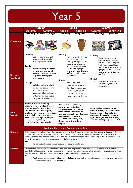## Year 5

|                                    | <b>Autumn</b>                                                                                                                                                                                                                                                                                                                                                                                                                                                                                                       |                                                                                                                                                                                                                                                                                                                                                                                                                             |                                                                                                                                                                                                                   | <b>Spring</b>                                                                                                                                                                                                                                                                                                                                                                                  |                                                                                                                                     | <b>Summer</b>                                                                                                                                                                                                                                                            |  |
|------------------------------------|---------------------------------------------------------------------------------------------------------------------------------------------------------------------------------------------------------------------------------------------------------------------------------------------------------------------------------------------------------------------------------------------------------------------------------------------------------------------------------------------------------------------|-----------------------------------------------------------------------------------------------------------------------------------------------------------------------------------------------------------------------------------------------------------------------------------------------------------------------------------------------------------------------------------------------------------------------------|-------------------------------------------------------------------------------------------------------------------------------------------------------------------------------------------------------------------|------------------------------------------------------------------------------------------------------------------------------------------------------------------------------------------------------------------------------------------------------------------------------------------------------------------------------------------------------------------------------------------------|-------------------------------------------------------------------------------------------------------------------------------------|--------------------------------------------------------------------------------------------------------------------------------------------------------------------------------------------------------------------------------------------------------------------------|--|
|                                    | <b>Autumn I</b>                                                                                                                                                                                                                                                                                                                                                                                                                                                                                                     | <b>Autumn 2</b>                                                                                                                                                                                                                                                                                                                                                                                                             | <b>Spring I</b>                                                                                                                                                                                                   | <b>Spring 2</b>                                                                                                                                                                                                                                                                                                                                                                                | Summer I                                                                                                                            | <b>Summer 2</b>                                                                                                                                                                                                                                                          |  |
| <b>Overview</b>                    |                                                                                                                                                                                                                                                                                                                                                                                                                                                                                                                     | <b>Drawing Textiles Collage</b>                                                                                                                                                                                                                                                                                                                                                                                             | <b>Painting</b>                                                                                                                                                                                                   | <b>Sculpture</b>                                                                                                                                                                                                                                                                                                                                                                               | <b>Printing</b>                                                                                                                     | <b>Digital Art</b>                                                                                                                                                                                                                                                       |  |
| <b>Suggested</b><br><b>Content</b> | <b>Drawing</b><br><b>Textiles</b><br>Collage                                                                                                                                                                                                                                                                                                                                                                                                                                                                        | Use pencil, charcoal, ball<br>point pens, felt tips, chalk,<br>wax crayons and pastels.<br>Include weaving, dyeing and<br>printing. Use a variety of<br>media and different textures<br>(e.g. fabric, tissue paper,<br>crepe paper).<br>Include a variety of mixed<br>media - newspaper, paint,<br>print, ink, charcoal,<br>magazines, fabric and natural<br>or found materials, plastic,<br>string, leaves, flower petals. | <b>Painting</b><br>(e.g. fabric).<br><b>Sculpture</b>                                                                                                                                                             | Include a variety of colour<br>techniques, including:<br>painting, ink, dye, pencils,<br>crayons, pastels. Apply<br>colour in different ways<br>(i.e. Brushes, sponges,<br>straws, etc). Use different<br>surfaces as well as paper<br>Include rigid and<br>malleable materials (e.g.<br>clay, dough, boxes, wire,<br>newspaper, sculpture,<br>mod roc rolled up<br>paper straws, card, junk). | <b>Printing</b><br>and fingers.<br><b>Digital</b><br>photography.                                                                   | Use a variety of tools,<br>brushes, found materials,<br>natural and made objects,<br>fruit/veg, wooden blocks<br>with string patterns attached,<br>sponges, cotton buds, clay,<br>card, press print, lino, string<br>Digital art such as graphic<br>drawing programs and |  |
| <b>Key</b><br><b>Vocab</b>         | form, mosaic, montage,                                                                                                                                                                                                                                                                                                                                                                                                                                                                                              | Sketch, observe, blending,<br>pattern, form, smudge, fresco,<br>portrait, graffiti, mural, heavy,<br>soft, shade, tone, investigate,<br>explore, mark-mark, weave, dye,<br>print, fabric, pattern, texture,<br>represent, arrange, fix, shape,<br>tessellation, overlap, position,                                                                                                                                          | Paint, texture, abstract,<br>absorb, impressionism,<br>impressionists, mix, blend,<br>tints, shades, watercolour<br>bold brushes, concrete,<br>architect, join, tram, cast,<br>shape, mark, trimmings,<br>edging, | wash, sweep, dab, acrylic paint,                                                                                                                                                                                                                                                                                                                                                               | printmaking, relief printing,<br>hammering, collograph, tile,<br>photograph, position, shadow,<br>light, flashlight, central, zoom, | objects, carve, cut, shape, press,<br>observe, paint programme, ICT.                                                                                                                                                                                                     |  |
|                                    |                                                                                                                                                                                                                                                                                                                                                                                                                                                                                                                     |                                                                                                                                                                                                                                                                                                                                                                                                                             | <b>National Curriculum Programme of Study</b>                                                                                                                                                                     |                                                                                                                                                                                                                                                                                                                                                                                                |                                                                                                                                     |                                                                                                                                                                                                                                                                          |  |
| <b>Research</b>                    | Children continue to learn from the works of famous artists. They now expand their knowledge by looking at the range<br>of more famous artists. Children comment on the work of famous artists and their pieces of work. They analyse the<br>meaning of the works and the message they convey. Children should gain an understanding of the art movement that<br>the artist is part of in order to understand their influences better.<br>NC:<br>To learn about great artists, architects and designers in history. |                                                                                                                                                                                                                                                                                                                                                                                                                             |                                                                                                                                                                                                                   |                                                                                                                                                                                                                                                                                                                                                                                                |                                                                                                                                     |                                                                                                                                                                                                                                                                          |  |
| <b>Develop</b>                     | Children start collecting more information and resources to present in sketchbooks. They continue to build their<br>knowledge of techniques by experimenting and predicting what might happen. Children continue to practise and share<br>their learning and skills with others, receiving and offering feedback to improve.<br>NC:<br>Pupils should be taught to develop their techniques with creativity, experimentation and increasing awareness<br>of different kinds of art, craft and design.                |                                                                                                                                                                                                                                                                                                                                                                                                                             |                                                                                                                                                                                                                   |                                                                                                                                                                                                                                                                                                                                                                                                |                                                                                                                                     |                                                                                                                                                                                                                                                                          |  |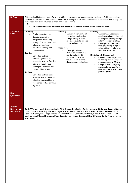| <b>Reflect</b><br><b>Technical</b><br><b>Skills</b>                                                                                                                                                                                                                                                                                                                                        | Children should discuss a range of works by different artists and use subject-specific vocabulary. Children should use<br>think artists have been influential to them and to other artists.<br>NC:<br>$\bullet$<br><b>Drawing</b><br>Produce drawings that<br>depict movement and<br>perspective whilst using a<br>variety of techniques to add<br>effects, e.g shadows, | To create sketchbooks to record their observations and use them to review and revisit ideas.<br><b>Painting</b><br>Can select from different<br>$\bullet$<br>methods to apply colour<br>using a variety of tools<br>and techniques to express<br>mood and emotion. | annotations to reflect on their own and others' work. Using artist research, children should be able to explain why they<br><b>Printing</b><br>Can recreate a scene and<br>$\bullet$<br>detail remembered, observed<br>or imagined, through collage<br>relief 'collograph' printing.<br>Can explore colour mixing                                 |  |
|--------------------------------------------------------------------------------------------------------------------------------------------------------------------------------------------------------------------------------------------------------------------------------------------------------------------------------------------------------------------------------------------|--------------------------------------------------------------------------------------------------------------------------------------------------------------------------------------------------------------------------------------------------------------------------------------------------------------------------------------------------------------------------|--------------------------------------------------------------------------------------------------------------------------------------------------------------------------------------------------------------------------------------------------------------------|---------------------------------------------------------------------------------------------------------------------------------------------------------------------------------------------------------------------------------------------------------------------------------------------------------------------------------------------------|--|
| reflection, hatching and<br>cross-hatching.<br><b>Textiles</b><br>Can select and use<br>contrasting colours and<br>texture in weaving. Can dye<br>fabrics and use tie-dye<br>techniques to control and<br>create a fabric image.<br><b>Collage</b><br>Can select and use found<br>materials with art media and<br>adhesives to assemble and<br>represent a surface or thing,<br>e.g water. |                                                                                                                                                                                                                                                                                                                                                                          | <b>Sculpture</b><br>Can explore how a<br>stimuli can be used as a<br>starting point for 3D<br>work with a particular<br>focus on form, texture,<br>shape, pattern and colour.                                                                                      | through printing, using two<br>coloured inks, a roller and a<br>stencil or pressprint.<br>Digital Art & Photography<br>Can use a paint programme<br>to develop virtual designs for<br>a painting, print or 3D work.<br>Can plan, take and digitally<br>$\bullet$<br>process photographs for a<br>creative purpose, working as<br>part of a group. |  |
| <b>Key</b><br><b>Questions</b>                                                                                                                                                                                                                                                                                                                                                             |                                                                                                                                                                                                                                                                                                                                                                          |                                                                                                                                                                                                                                                                    |                                                                                                                                                                                                                                                                                                                                                   |  |
| Artists,<br><b>Designers &amp;</b><br><b>Architects</b>                                                                                                                                                                                                                                                                                                                                    | David Oliveria, Man Ray, Fernard Leger, Alfred Wallis, Hokusai, Frida Kahlo, Joaquin Torres-Garcia,<br>Leonora Carrington, Diego Rivera, Beatriz Milhazes, Carlos Paez Vilaro, Ansel Adams, Frank Lloyd<br>Wright, Jean-Michael Basquiat, Mary Cassatt, John singer Sargent, Edvard Munch, Emile Nolde, Norval<br>Morrisseau.                                            |                                                                                                                                                                                                                                                                    | Andy Warhol, Henri Rousseau, India Flint, Alexander Calder, David Hockney, LS Lowry, Francis Bacon,                                                                                                                                                                                                                                               |  |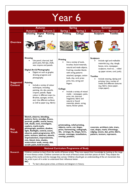| Year 6                                        |                                                                                                                                                                                                                                                                                                                                                                                                                                                                                                                     |                                                                                                                                                                                                                                                                                                                                                                                                                                                                     |                                                                                                                                                                                                                                                                                                                                                                    |  |  |
|-----------------------------------------------|---------------------------------------------------------------------------------------------------------------------------------------------------------------------------------------------------------------------------------------------------------------------------------------------------------------------------------------------------------------------------------------------------------------------------------------------------------------------------------------------------------------------|---------------------------------------------------------------------------------------------------------------------------------------------------------------------------------------------------------------------------------------------------------------------------------------------------------------------------------------------------------------------------------------------------------------------------------------------------------------------|--------------------------------------------------------------------------------------------------------------------------------------------------------------------------------------------------------------------------------------------------------------------------------------------------------------------------------------------------------------------|--|--|
|                                               | <b>Autumn</b>                                                                                                                                                                                                                                                                                                                                                                                                                                                                                                       | <b>Spring</b>                                                                                                                                                                                                                                                                                                                                                                                                                                                       | <b>Summer</b>                                                                                                                                                                                                                                                                                                                                                      |  |  |
|                                               | <b>Autumn 2</b><br><b>Autumn I</b>                                                                                                                                                                                                                                                                                                                                                                                                                                                                                  | <b>Spring I</b><br><b>Spring 2</b>                                                                                                                                                                                                                                                                                                                                                                                                                                  | Summer I<br><b>Summer 2</b>                                                                                                                                                                                                                                                                                                                                        |  |  |
| <b>Overview</b>                               | <b>Drawing Digital Painting</b><br>Art                                                                                                                                                                                                                                                                                                                                                                                                                                                                              | <b>Printing</b><br><b>Collage</b>                                                                                                                                                                                                                                                                                                                                                                                                                                   | <b>Textiles</b><br><b>Sculpture</b>                                                                                                                                                                                                                                                                                                                                |  |  |
|                                               |                                                                                                                                                                                                                                                                                                                                                                                                                                                                                                                     |                                                                                                                                                                                                                                                                                                                                                                                                                                                                     |                                                                                                                                                                                                                                                                                                                                                                    |  |  |
| <b>Suggested</b><br><b>Content</b>            | <b>Drawing</b><br>Use pencil, charcoal, ball<br>point pens, felt tips, chalk,<br>wax crayons and pastels.<br><b>Digital Art &amp; Photography</b><br>Digital art such as graphic<br>drawing programs and<br>photography.<br><b>Painting</b><br>Include a variety of colour<br>techniques, including:<br>painting, ink, dye, pencils,<br>crayons, pastels. Apply<br>colour in different ways (i.e.<br>Brushes, sponges, straws,<br>etc). Use different surfaces<br>as well as paper (e.g. fabric)                    | <b>Printing</b><br>Use a variety of tools,<br>brushes, found materials,<br>natural and made objects,<br>fruit/veg, wooden blocks<br>with string patterns<br>attached, sponges, cotton<br>buds, clay, card, press<br>print, lino, string and<br>fingers.<br><b>Collage</b><br>Include a variety of mixed<br>media - newspaper, paint,<br>print, ink, charcoal,<br>magazines, fabric and<br>natural or found<br>materials, plastic, string,<br>leaves, flower petals. | <b>Sculpture</b><br>Include rigid and malleable<br>$\bullet$<br>materials (e.g. clay, dough,<br>boxes, wire, newspaper,<br>sculpture, mod roc rolled<br>up paper straws, card, junk).<br><b>Textiles</b><br>Include weaving, dyeing and<br>$\bullet$<br>printing. Use a variety of<br>media and different textures<br>(e.g. fabric, tissue paper,<br>crepe paper). |  |  |
| <b>Key</b><br><b>Vocab</b>                    | Sketch, observe, blending,<br>pattern, form, smudge, fresco,<br>portrait, graffiti, mural, heavy,<br>soft, shade, tone, investigate,<br>explore, mark-mark,<br>photograph, position, shadow,<br>light, flashlight, central, zoom,<br>observe, paint programme, ICT,<br>paint, texture, abstract, absorb,<br>impressionism, impressionists,<br>mix, blend, tints, shades,<br>watercolour wash, sweep, dab,<br>acrylic paint, bold brushes,                                                                           | printmaking, relief printing,<br>objects, carve, cut, shape,<br>press, hammering, collograph,<br>tile, arrange, fix, shape, form,<br>mosaic, montage, tessellation,<br>overlap, position,                                                                                                                                                                                                                                                                           | concrete, architect, join, tram,<br>cast, shape, mark, trimmings,<br>edging, weave, dye, print, fabric,<br>pattern, texture, represent                                                                                                                                                                                                                             |  |  |
| <b>National Curriculum Programme of Study</b> |                                                                                                                                                                                                                                                                                                                                                                                                                                                                                                                     |                                                                                                                                                                                                                                                                                                                                                                                                                                                                     |                                                                                                                                                                                                                                                                                                                                                                    |  |  |
| <b>Research</b>                               | Children continue to learn from the works of famous artists. They now expand their knowledge by looking at the range<br>of more famous artists. Children comment on the work of famous artists and their pieces of work. They analyse the<br>meaning of the works and the message they convey. Children should gain an understanding of the art movement that<br>the artist is part of in order to understand their influences better.<br>NC:<br>To learn about great artists, architects and designers in history. |                                                                                                                                                                                                                                                                                                                                                                                                                                                                     |                                                                                                                                                                                                                                                                                                                                                                    |  |  |